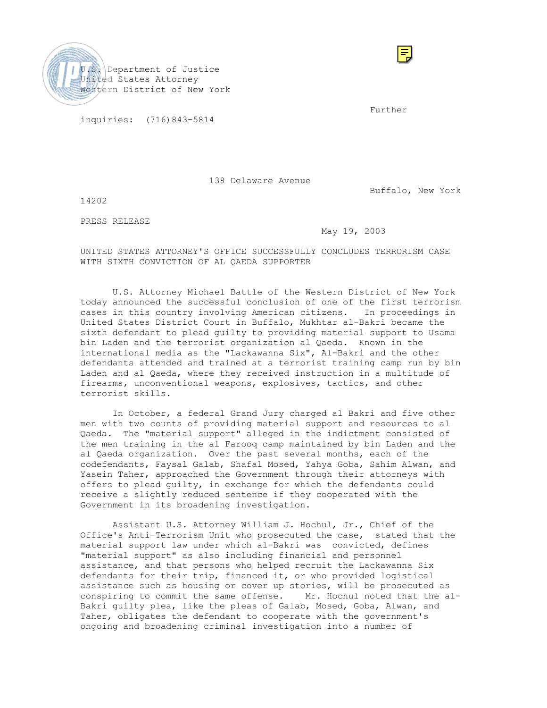

Further and the state of the state of the state of the state of the state of the state of the state of the state of the state of the state of the state of the state of the state of the state of the state of the state of th

inquiries: (716)843-5814

138 Delaware Avenue

Buffalo, New York

14202

PRESS RELEASE

# May 19, 2003

UNITED STATES ATTORNEY'S OFFICE SUCCESSFULLY CONCLUDES TERRORISM CASE WITH SIXTH CONVICTION OF AL QAEDA SUPPORTER

U.S. Attorney Michael Battle of the Western District of New York today announced the successful conclusion of one of the first terrorism cases in this country involving American citizens. In proceedings in United States District Court in Buffalo, Mukhtar al-Bakri became the sixth defendant to plead guilty to providing material support to Usama bin Laden and the terrorist organization al Qaeda. Known in the international media as the "Lackawanna Six", Al-Bakri and the other defendants attended and trained at a terrorist training camp run by bin Laden and al Qaeda, where they received instruction in a multitude of firearms, unconventional weapons, explosives, tactics, and other terrorist skills.

In October, a federal Grand Jury charged al Bakri and five other men with two counts of providing material support and resources to al Qaeda. The "material support" alleged in the indictment consisted of the men training in the al Farooq camp maintained by bin Laden and the al Qaeda organization. Over the past several months, each of the codefendants, Faysal Galab, Shafal Mosed, Yahya Goba, Sahim Alwan, and Yasein Taher, approached the Government through their attorneys with offers to plead guilty, in exchange for which the defendants could receive a slightly reduced sentence if they cooperated with the Government in its broadening investigation.

Assistant U.S. Attorney William J. Hochul, Jr., Chief of the Office's Anti-Terrorism Unit who prosecuted the case, stated that the material support law under which al-Bakri was convicted, defines "material support" as also including financial and personnel assistance, and that persons who helped recruit the Lackawanna Six defendants for their trip, financed it, or who provided logistical assistance such as housing or cover up stories, will be prosecuted as conspiring to commit the same offense. Mr. Hochul noted that the al-Bakri guilty plea, like the pleas of Galab, Mosed, Goba, Alwan, and Taher, obligates the defendant to cooperate with the government's ongoing and broadening criminal investigation into a number of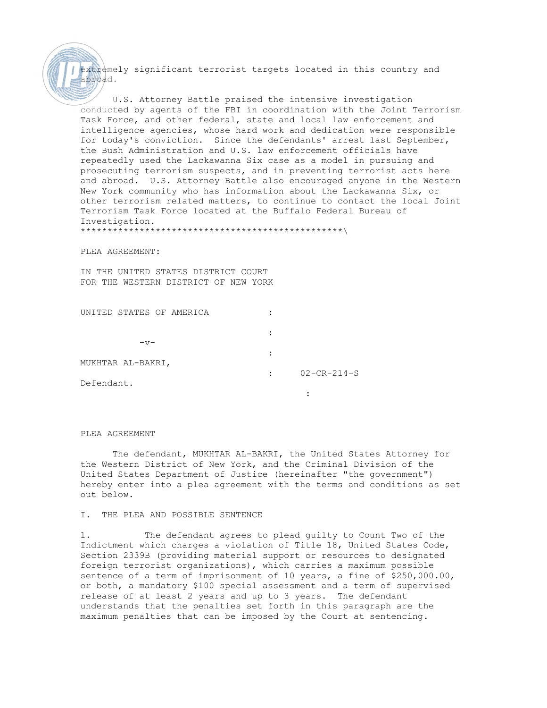extremely significant terrorist targets located in this country and abroad.

U.S. Attorney Battle praised the intensive investigation conducted by agents of the FBI in coordination with the Joint Terrorism Task Force, and other federal, state and local law enforcement and intelligence agencies, whose hard work and dedication were responsible for today's conviction. Since the defendants' arrest last September, the Bush Administration and U.S. law enforcement officials have repeatedly used the Lackawanna Six case as a model in pursuing and prosecuting terrorism suspects, and in preventing terrorist acts here and abroad. U.S. Attorney Battle also encouraged anyone in the Western New York community who has information about the Lackawanna Six, or other terrorism related matters, to continue to contact the local Joint Terrorism Task Force located at the Buffalo Federal Bureau of Investigation. \*\*\*\*\*\*\*\*\*\*\*\*\*\*\*\*\*\*\*\*\*\*\*\*\*\*\*\*\*\*\*\*\*\*\*\*\*\*\*\*\*\*\*\*\*\*\*\*\*\

PLEA AGREEMENT:

IN THE UNITED STATES DISTRICT COURT FOR THE WESTERN DISTRICT OF NEW YORK

| UNITED STATES OF AMERICA |         |                     |
|--------------------------|---------|---------------------|
|                          |         |                     |
| $-v-$                    |         |                     |
|                          |         |                     |
| MUKHTAR AL-BAKRI,        |         |                     |
|                          | $\cdot$ | $02 - CR - 214 - S$ |
| Defendant.               |         |                     |
|                          |         |                     |
|                          |         |                     |

PLEA AGREEMENT

The defendant, MUKHTAR AL-BAKRI, the United States Attorney for the Western District of New York, and the Criminal Division of the United States Department of Justice (hereinafter "the government") hereby enter into a plea agreement with the terms and conditions as set out below.

## I. THE PLEA AND POSSIBLE SENTENCE

1. The defendant agrees to plead guilty to Count Two of the Indictment which charges a violation of Title 18, United States Code, Section 2339B (providing material support or resources to designated foreign terrorist organizations), which carries a maximum possible sentence of a term of imprisonment of 10 years, a fine of \$250,000.00, or both, a mandatory \$100 special assessment and a term of supervised release of at least 2 years and up to 3 years. The defendant understands that the penalties set forth in this paragraph are the maximum penalties that can be imposed by the Court at sentencing.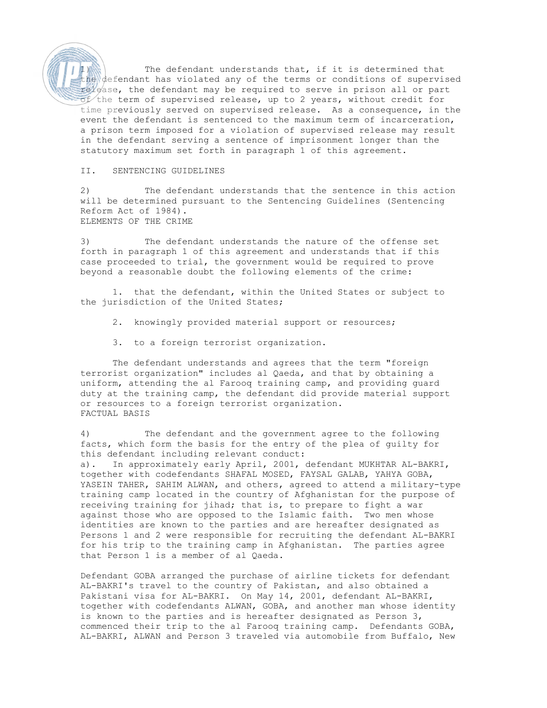The defendant understands that, if it is determined that the defendant has violated any of the terms or conditions of supervised release, the defendant may be required to serve in prison all or part  $\sigma f$  the term of supervised release, up to 2 years, without credit for time previously served on supervised release. As a consequence, in the event the defendant is sentenced to the maximum term of incarceration, a prison term imposed for a violation of supervised release may result in the defendant serving a sentence of imprisonment longer than the statutory maximum set forth in paragraph 1 of this agreement.

### II. SENTENCING GUIDELINES

2) The defendant understands that the sentence in this action will be determined pursuant to the Sentencing Guidelines (Sentencing Reform Act of 1984). ELEMENTS OF THE CRIME

3) The defendant understands the nature of the offense set forth in paragraph 1 of this agreement and understands that if this case proceeded to trial, the government would be required to prove beyond a reasonable doubt the following elements of the crime:

1. that the defendant, within the United States or subject to the jurisdiction of the United States;

- 2. knowingly provided material support or resources;
- 3. to a foreign terrorist organization.

The defendant understands and agrees that the term "foreign terrorist organization" includes al Qaeda, and that by obtaining a uniform, attending the al Farooq training camp, and providing guard duty at the training camp, the defendant did provide material support or resources to a foreign terrorist organization. FACTUAL BASIS

4) The defendant and the government agree to the following facts, which form the basis for the entry of the plea of guilty for this defendant including relevant conduct: a). In approximately early April, 2001, defendant MUKHTAR AL-BAKRI, together with codefendants SHAFAL MOSED, FAYSAL GALAB, YAHYA GOBA, YASEIN TAHER, SAHIM ALWAN, and others, agreed to attend a military-type training camp located in the country of Afghanistan for the purpose of receiving training for jihad; that is, to prepare to fight a war against those who are opposed to the Islamic faith. Two men whose identities are known to the parties and are hereafter designated as Persons 1 and 2 were responsible for recruiting the defendant AL-BAKRI for his trip to the training camp in Afghanistan. The parties agree that Person 1 is a member of al Qaeda.

Defendant GOBA arranged the purchase of airline tickets for defendant AL-BAKRI's travel to the country of Pakistan, and also obtained a Pakistani visa for AL-BAKRI. On May 14, 2001, defendant AL-BAKRI, together with codefendants ALWAN, GOBA, and another man whose identity is known to the parties and is hereafter designated as Person 3, commenced their trip to the al Farooq training camp. Defendants GOBA, AL-BAKRI, ALWAN and Person 3 traveled via automobile from Buffalo, New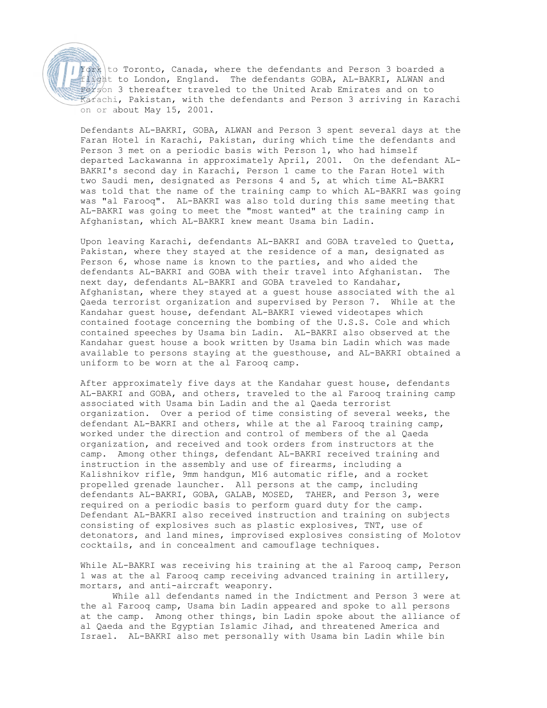$\sqrt{Y}$ ork to Toronto, Canada, where the defendants and Person 3 boarded a flight to London, England. The defendants GOBA, AL-BAKRI, ALWAN and Person 3 thereafter traveled to the United Arab Emirates and on to Karachi, Pakistan, with the defendants and Person 3 arriving in Karachi on or about May 15, 2001.

Defendants AL-BAKRI, GOBA, ALWAN and Person 3 spent several days at the Faran Hotel in Karachi, Pakistan, during which time the defendants and Person 3 met on a periodic basis with Person 1, who had himself departed Lackawanna in approximately April, 2001. On the defendant AL-BAKRI's second day in Karachi, Person 1 came to the Faran Hotel with two Saudi men, designated as Persons 4 and 5, at which time AL-BAKRI was told that the name of the training camp to which AL-BAKRI was going was "al Farooq". AL-BAKRI was also told during this same meeting that AL-BAKRI was going to meet the "most wanted" at the training camp in Afghanistan, which AL-BAKRI knew meant Usama bin Ladin.

Upon leaving Karachi, defendants AL-BAKRI and GOBA traveled to Quetta, Pakistan, where they stayed at the residence of a man, designated as Person 6, whose name is known to the parties, and who aided the defendants AL-BAKRI and GOBA with their travel into Afghanistan. The next day, defendants AL-BAKRI and GOBA traveled to Kandahar, Afghanistan, where they stayed at a guest house associated with the al Qaeda terrorist organization and supervised by Person 7. While at the Kandahar guest house, defendant AL-BAKRI viewed videotapes which contained footage concerning the bombing of the U.S.S. Cole and which contained speeches by Usama bin Ladin. AL-BAKRI also observed at the Kandahar guest house a book written by Usama bin Ladin which was made available to persons staying at the guesthouse, and AL-BAKRI obtained a uniform to be worn at the al Farooq camp.

After approximately five days at the Kandahar guest house, defendants AL-BAKRI and GOBA, and others, traveled to the al Farooq training camp associated with Usama bin Ladin and the al Qaeda terrorist organization. Over a period of time consisting of several weeks, the defendant AL-BAKRI and others, while at the al Farooq training camp, worked under the direction and control of members of the al Qaeda organization, and received and took orders from instructors at the camp. Among other things, defendant AL-BAKRI received training and instruction in the assembly and use of firearms, including a Kalishnikov rifle, 9mm handgun, M16 automatic rifle, and a rocket propelled grenade launcher. All persons at the camp, including defendants AL-BAKRI, GOBA, GALAB, MOSED, TAHER, and Person 3, were required on a periodic basis to perform guard duty for the camp. Defendant AL-BAKRI also received instruction and training on subjects consisting of explosives such as plastic explosives, TNT, use of detonators, and land mines, improvised explosives consisting of Molotov cocktails, and in concealment and camouflage techniques.

While AL-BAKRI was receiving his training at the al Farooq camp, Person 1 was at the al Farooq camp receiving advanced training in artillery, mortars, and anti-aircraft weaponry.

 While all defendants named in the Indictment and Person 3 were at the al Farooq camp, Usama bin Ladin appeared and spoke to all persons at the camp. Among other things, bin Ladin spoke about the alliance of al Qaeda and the Egyptian Islamic Jihad, and threatened America and Israel. AL-BAKRI also met personally with Usama bin Ladin while bin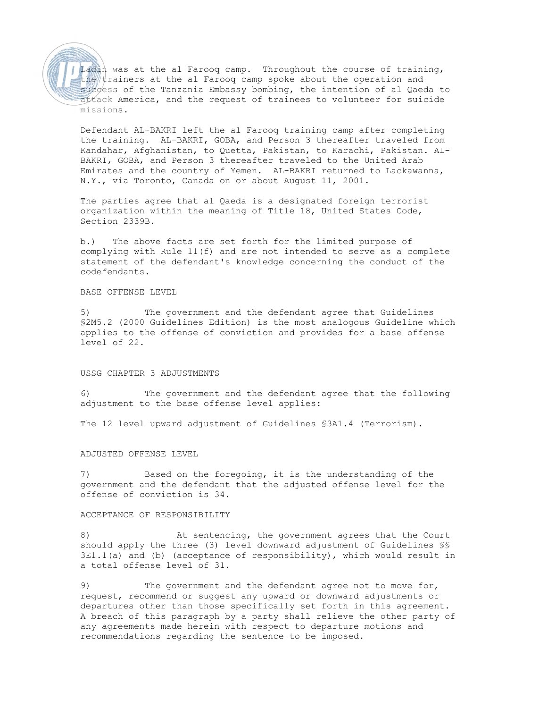Ladin was at the al Farooq camp. Throughout the course of training, the trainers at the al Farooq camp spoke about the operation and  $sucless$  of the Tanzania Embassy bombing, the intention of al Qaeda to attack America, and the request of trainees to volunteer for suicide missions.

Defendant AL-BAKRI left the al Farooq training camp after completing the training. AL-BAKRI, GOBA, and Person 3 thereafter traveled from Kandahar, Afghanistan, to Quetta, Pakistan, to Karachi, Pakistan. AL-BAKRI, GOBA, and Person 3 thereafter traveled to the United Arab Emirates and the country of Yemen. AL-BAKRI returned to Lackawanna, N.Y., via Toronto, Canada on or about August 11, 2001.

The parties agree that al Qaeda is a designated foreign terrorist organization within the meaning of Title 18, United States Code, Section 2339B.

b.) The above facts are set forth for the limited purpose of complying with Rule 11(f) and are not intended to serve as a complete statement of the defendant's knowledge concerning the conduct of the codefendants.

# BASE OFFENSE LEVEL

5) The government and the defendant agree that Guidelines §2M5.2 (2000 Guidelines Edition) is the most analogous Guideline which applies to the offense of conviction and provides for a base offense level of 22.

## USSG CHAPTER 3 ADJUSTMENTS

6) The government and the defendant agree that the following adjustment to the base offense level applies:

The 12 level upward adjustment of Guidelines §3A1.4 (Terrorism).

# ADJUSTED OFFENSE LEVEL

7) Based on the foregoing, it is the understanding of the government and the defendant that the adjusted offense level for the offense of conviction is 34.

#### ACCEPTANCE OF RESPONSIBILITY

8) At sentencing, the government agrees that the Court should apply the three (3) level downward adjustment of Guidelines §§  $3E1.1(a)$  and (b) (acceptance of responsibility), which would result in a total offense level of 31.

9) The government and the defendant agree not to move for, request, recommend or suggest any upward or downward adjustments or departures other than those specifically set forth in this agreement. A breach of this paragraph by a party shall relieve the other party of any agreements made herein with respect to departure motions and recommendations regarding the sentence to be imposed.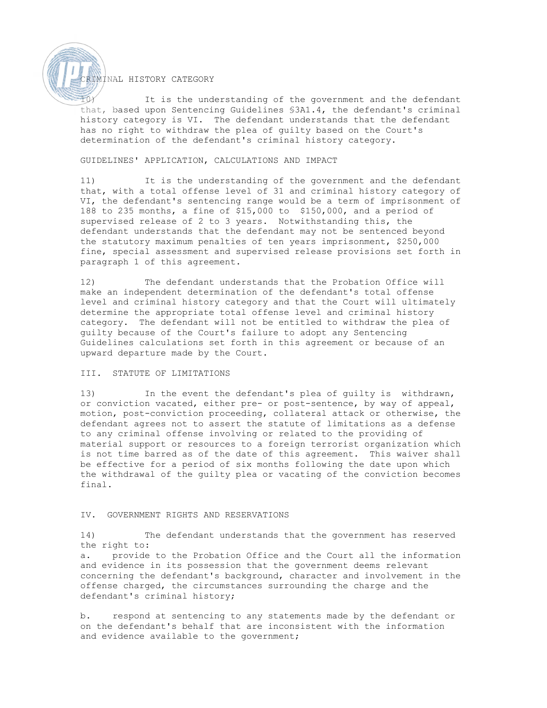# CRIMINAL HISTORY CATEGORY

It is the understanding of the government and the defendant that, based upon Sentencing Guidelines §3A1.4, the defendant's criminal history category is VI. The defendant understands that the defendant has no right to withdraw the plea of guilty based on the Court's determination of the defendant's criminal history category.

# GUIDELINES' APPLICATION, CALCULATIONS AND IMPACT

11) It is the understanding of the government and the defendant that, with a total offense level of 31 and criminal history category of VI, the defendant's sentencing range would be a term of imprisonment of 188 to 235 months, a fine of \$15,000 to \$150,000, and a period of supervised release of 2 to 3 years. Notwithstanding this, the defendant understands that the defendant may not be sentenced beyond the statutory maximum penalties of ten years imprisonment, \$250,000 fine, special assessment and supervised release provisions set forth in paragraph 1 of this agreement.

12) The defendant understands that the Probation Office will make an independent determination of the defendant's total offense level and criminal history category and that the Court will ultimately determine the appropriate total offense level and criminal history category. The defendant will not be entitled to withdraw the plea of guilty because of the Court's failure to adopt any Sentencing Guidelines calculations set forth in this agreement or because of an upward departure made by the Court.

# III. STATUTE OF LIMITATIONS

13) In the event the defendant's plea of guilty is withdrawn, or conviction vacated, either pre- or post-sentence, by way of appeal, motion, post-conviction proceeding, collateral attack or otherwise, the defendant agrees not to assert the statute of limitations as a defense to any criminal offense involving or related to the providing of material support or resources to a foreign terrorist organization which is not time barred as of the date of this agreement. This waiver shall be effective for a period of six months following the date upon which the withdrawal of the guilty plea or vacating of the conviction becomes final.

## IV. GOVERNMENT RIGHTS AND RESERVATIONS

14) The defendant understands that the government has reserved the right to:

a. provide to the Probation Office and the Court all the information and evidence in its possession that the government deems relevant concerning the defendant's background, character and involvement in the offense charged, the circumstances surrounding the charge and the defendant's criminal history;

b. respond at sentencing to any statements made by the defendant or on the defendant's behalf that are inconsistent with the information and evidence available to the government;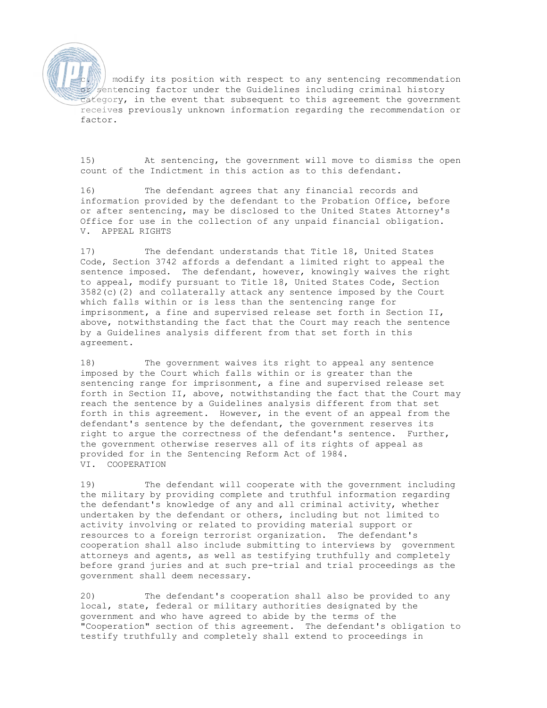modify its position with respect to any sentencing recommendation or sentencing factor under the Guidelines including criminal history category, in the event that subsequent to this agreement the government receives previously unknown information regarding the recommendation or factor.

15) At sentencing, the government will move to dismiss the open count of the Indictment in this action as to this defendant.

16) The defendant agrees that any financial records and information provided by the defendant to the Probation Office, before or after sentencing, may be disclosed to the United States Attorney's Office for use in the collection of any unpaid financial obligation. V. APPEAL RIGHTS

17) The defendant understands that Title 18, United States Code, Section 3742 affords a defendant a limited right to appeal the sentence imposed. The defendant, however, knowingly waives the right to appeal, modify pursuant to Title 18, United States Code, Section 3582(c)(2) and collaterally attack any sentence imposed by the Court which falls within or is less than the sentencing range for imprisonment, a fine and supervised release set forth in Section II, above, notwithstanding the fact that the Court may reach the sentence by a Guidelines analysis different from that set forth in this agreement.

18) The government waives its right to appeal any sentence imposed by the Court which falls within or is greater than the sentencing range for imprisonment, a fine and supervised release set forth in Section II, above, notwithstanding the fact that the Court may reach the sentence by a Guidelines analysis different from that set forth in this agreement. However, in the event of an appeal from the defendant's sentence by the defendant, the government reserves its right to argue the correctness of the defendant's sentence. Further, the government otherwise reserves all of its rights of appeal as provided for in the Sentencing Reform Act of 1984. VI. COOPERATION

19) The defendant will cooperate with the government including the military by providing complete and truthful information regarding the defendant's knowledge of any and all criminal activity, whether undertaken by the defendant or others, including but not limited to activity involving or related to providing material support or resources to a foreign terrorist organization. The defendant's cooperation shall also include submitting to interviews by government attorneys and agents, as well as testifying truthfully and completely before grand juries and at such pre-trial and trial proceedings as the government shall deem necessary.

20) The defendant's cooperation shall also be provided to any local, state, federal or military authorities designated by the government and who have agreed to abide by the terms of the "Cooperation" section of this agreement. The defendant's obligation to testify truthfully and completely shall extend to proceedings in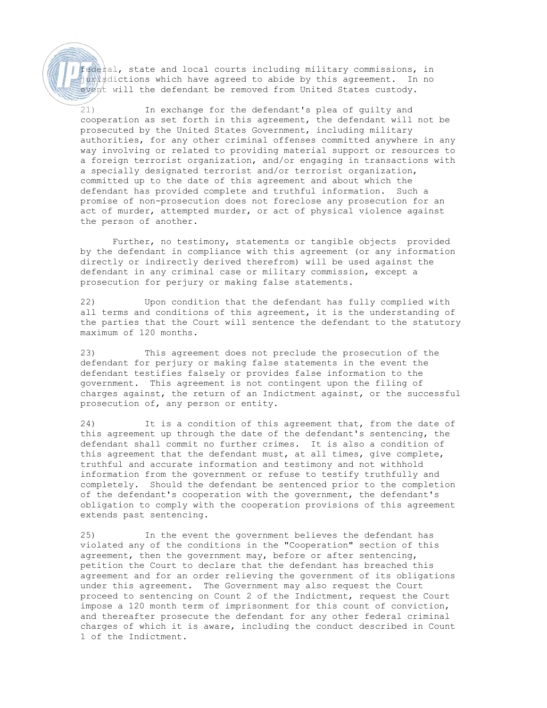federal, state and local courts including military commissions, in jurisdictions which have agreed to abide by this agreement. In no event will the defendant be removed from United States custody.

21) In exchange for the defendant's plea of guilty and cooperation as set forth in this agreement, the defendant will not be prosecuted by the United States Government, including military authorities, for any other criminal offenses committed anywhere in any way involving or related to providing material support or resources to a foreign terrorist organization, and/or engaging in transactions with a specially designated terrorist and/or terrorist organization, committed up to the date of this agreement and about which the defendant has provided complete and truthful information. Such a promise of non-prosecution does not foreclose any prosecution for an act of murder, attempted murder, or act of physical violence against the person of another.

Further, no testimony, statements or tangible objects provided by the defendant in compliance with this agreement (or any information directly or indirectly derived therefrom) will be used against the defendant in any criminal case or military commission, except a prosecution for perjury or making false statements.

22) Upon condition that the defendant has fully complied with all terms and conditions of this agreement, it is the understanding of the parties that the Court will sentence the defendant to the statutory maximum of 120 months.

23) This agreement does not preclude the prosecution of the defendant for perjury or making false statements in the event the defendant testifies falsely or provides false information to the government. This agreement is not contingent upon the filing of charges against, the return of an Indictment against, or the successful prosecution of, any person or entity.

24) It is a condition of this agreement that, from the date of this agreement up through the date of the defendant's sentencing, the defendant shall commit no further crimes. It is also a condition of this agreement that the defendant must, at all times, give complete, truthful and accurate information and testimony and not withhold information from the government or refuse to testify truthfully and completely. Should the defendant be sentenced prior to the completion of the defendant's cooperation with the government, the defendant's obligation to comply with the cooperation provisions of this agreement extends past sentencing.

25) In the event the government believes the defendant has violated any of the conditions in the "Cooperation" section of this agreement, then the government may, before or after sentencing, petition the Court to declare that the defendant has breached this agreement and for an order relieving the government of its obligations under this agreement. The Government may also request the Court proceed to sentencing on Count 2 of the Indictment, request the Court impose a 120 month term of imprisonment for this count of conviction, and thereafter prosecute the defendant for any other federal criminal charges of which it is aware, including the conduct described in Count 1 of the Indictment.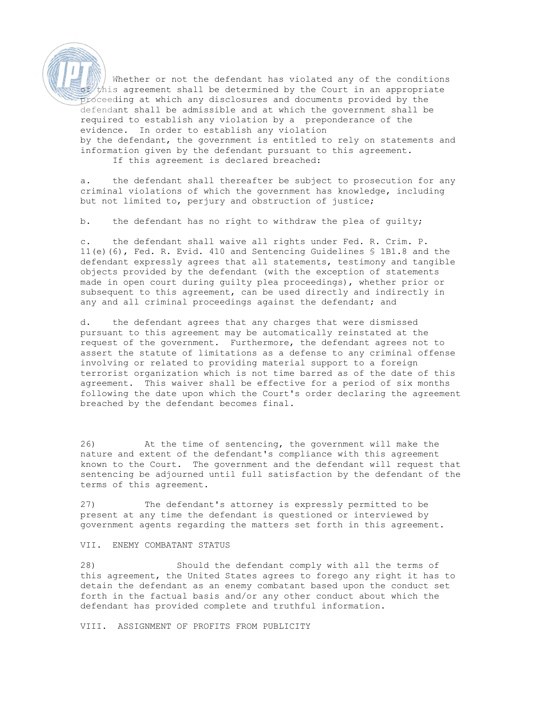Whether or not the defendant has violated any of the conditions  $t$ his agreement shall be determined by the Court in an appropriate proceeding at which any disclosures and documents provided by the defendant shall be admissible and at which the government shall be required to establish any violation by a preponderance of the evidence. In order to establish any violation by the defendant, the government is entitled to rely on statements and information given by the defendant pursuant to this agreement. If this agreement is declared breached:

a. the defendant shall thereafter be subject to prosecution for any criminal violations of which the government has knowledge, including but not limited to, perjury and obstruction of justice;

b. the defendant has no right to withdraw the plea of guilty;

c. the defendant shall waive all rights under Fed. R. Crim. P. 11(e)(6), Fed. R. Evid. 410 and Sentencing Guidelines § 1B1.8 and the defendant expressly agrees that all statements, testimony and tangible objects provided by the defendant (with the exception of statements made in open court during guilty plea proceedings), whether prior or subsequent to this agreement, can be used directly and indirectly in any and all criminal proceedings against the defendant; and

d. the defendant agrees that any charges that were dismissed pursuant to this agreement may be automatically reinstated at the request of the government. Furthermore, the defendant agrees not to assert the statute of limitations as a defense to any criminal offense involving or related to providing material support to a foreign terrorist organization which is not time barred as of the date of this agreement. This waiver shall be effective for a period of six months following the date upon which the Court's order declaring the agreement breached by the defendant becomes final.

26) At the time of sentencing, the government will make the nature and extent of the defendant's compliance with this agreement known to the Court. The government and the defendant will request that sentencing be adjourned until full satisfaction by the defendant of the terms of this agreement.

27) The defendant's attorney is expressly permitted to be present at any time the defendant is questioned or interviewed by government agents regarding the matters set forth in this agreement.

## VII. ENEMY COMBATANT STATUS

28) Should the defendant comply with all the terms of this agreement, the United States agrees to forego any right it has to detain the defendant as an enemy combatant based upon the conduct set forth in the factual basis and/or any other conduct about which the defendant has provided complete and truthful information.

VIII. ASSIGNMENT OF PROFITS FROM PUBLICITY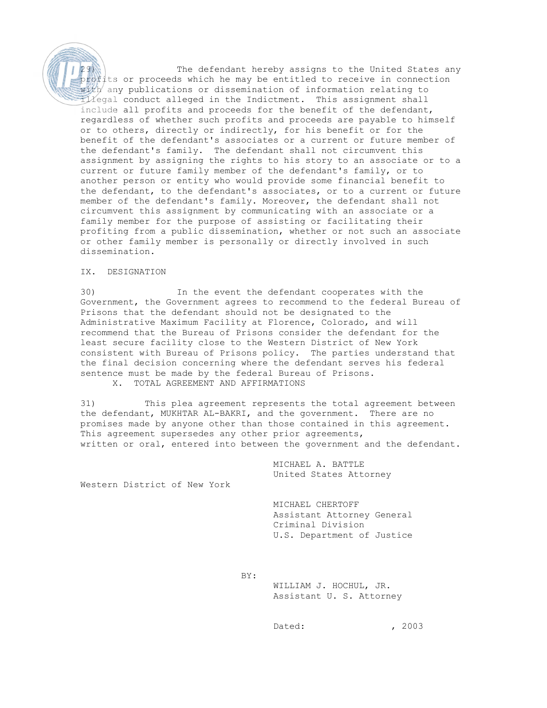29) The defendant hereby assigns to the United States any profits or proceeds which he may be entitled to receive in connection with any publications or dissemination of information relating to illegal conduct alleged in the Indictment. This assignment shall include all profits and proceeds for the benefit of the defendant, regardless of whether such profits and proceeds are payable to himself or to others, directly or indirectly, for his benefit or for the benefit of the defendant's associates or a current or future member of the defendant's family. The defendant shall not circumvent this assignment by assigning the rights to his story to an associate or to a current or future family member of the defendant's family, or to another person or entity who would provide some financial benefit to the defendant, to the defendant's associates, or to a current or future member of the defendant's family. Moreover, the defendant shall not circumvent this assignment by communicating with an associate or a family member for the purpose of assisting or facilitating their profiting from a public dissemination, whether or not such an associate or other family member is personally or directly involved in such dissemination.

## IX. DESIGNATION

30) In the event the defendant cooperates with the Government, the Government agrees to recommend to the federal Bureau of Prisons that the defendant should not be designated to the Administrative Maximum Facility at Florence, Colorado, and will recommend that the Bureau of Prisons consider the defendant for the least secure facility close to the Western District of New York consistent with Bureau of Prisons policy. The parties understand that the final decision concerning where the defendant serves his federal sentence must be made by the federal Bureau of Prisons. X. TOTAL AGREEMENT AND AFFIRMATIONS

31) This plea agreement represents the total agreement between the defendant, MUKHTAR AL-BAKRI, and the government. There are no promises made by anyone other than those contained in this agreement. This agreement supersedes any other prior agreements, written or oral, entered into between the government and the defendant.

> MICHAEL A. BATTLE United States Attorney

Western District of New York

 MICHAEL CHERTOFF Assistant Attorney General Criminal Division U.S. Department of Justice

BY:

 WILLIAM J. HOCHUL, JR. Assistant U. S. Attorney

Dated: 2003